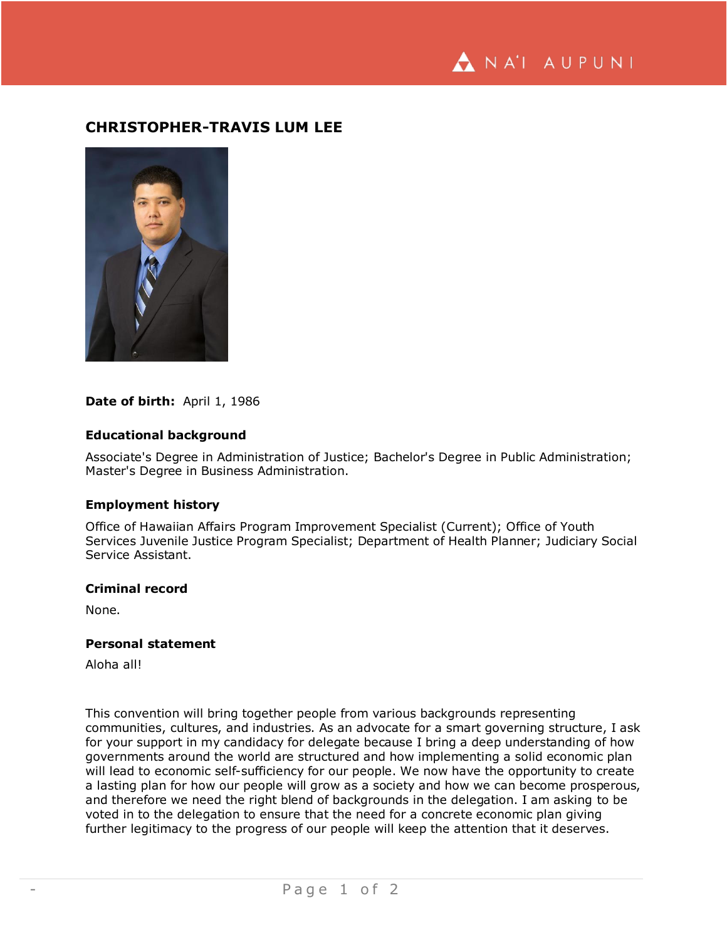NA'I AUPUNI

# **CHRISTOPHER-TRAVIS LUM LEE**



# Date of birth: April 1, 1986

# **Educational background**

Associate's Degree in Administration of Justice; Bachelor's Degree in Public Administration; Master's Degree in Business Administration.

# **Employment history**

Office of Hawaiian Affairs Program Improvement Specialist (Current); Office of Youth Services Juvenile Justice Program Specialist; Department of Health Planner; Judiciary Social Service Assistant.

### **Criminal record**

None.

#### **Personal statement**

Aloha all!

This convention will bring together people from various backgrounds representing communities, cultures, and industries. As an advocate for a smart governing structure, I ask for your support in my candidacy for delegate because I bring a deep understanding of how governments around the world are structured and how implementing a solid economic plan will lead to economic self-sufficiency for our people. We now have the opportunity to create a lasting plan for how our people will grow as a society and how we can become prosperous, and therefore we need the right blend of backgrounds in the delegation. I am asking to be voted in to the delegation to ensure that the need for a concrete economic plan giving further legitimacy to the progress of our people will keep the attention that it deserves.